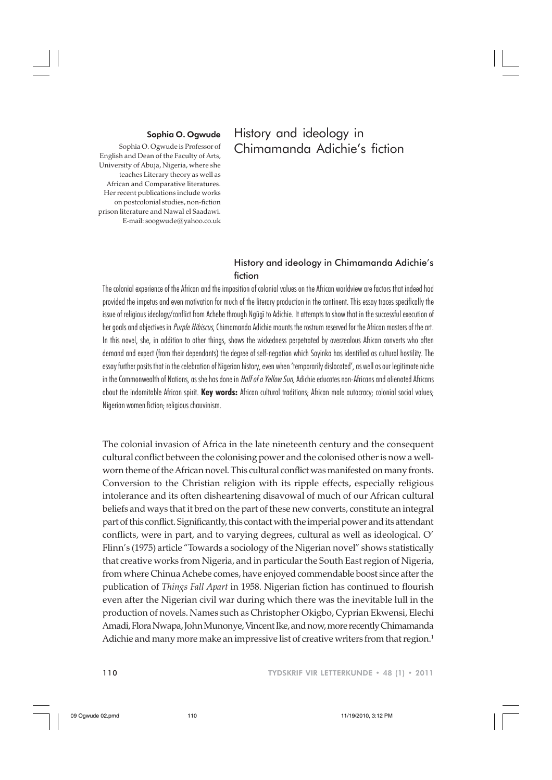## Sophia O. Ogwude

# History and ideology in Chimamanda Adichie's fiction

Sophia O. Ogwude is Professor of English and Dean of the Faculty of Arts, University of Abuja, Nigeria, where she teaches Literary theory as well as African and Comparative literatures. Her recent publications include works on postcolonial studies, non-fiction prison literature and Nawal el Saadawi. E-mail: soogwude@yahoo.co.uk

# History and ideology in Chimamanda Adichie's fiction

The colonial experience of the African and the imposition of colonial values on the African worldview are factors that indeed had provided the impetus and even motivation for much of the literary production in the continent. This essay traces specifically the issue of religious ideology/conflict from Achebe through Ngũgĩ to Adichie. It attempts to show that in the successful execution of her goals and objectives in Purple Hibiscus, Chimamanda Adichie mounts the rostrum reserved for the African masters of the art. In this novel, she, in addition to other things, shows the wickedness perpetrated by overzealous African converts who often demand and expect (from their dependants) the degree of self-negation which Soyinka has identified as cultural hostility. The essay further posits that in the celebration of Nigerian history, even when 'temporarily dislocated', as well as our legitimate niche in the Commonwealth of Nations, as she has done in Half of a Yellow Sun, Adichie educates non-Africans and alienated Africans about the indomitable African spirit. **Key words:** African cultural traditions; African male autocracy; colonial social values; Nigerian women fiction; religious chauvinism.

The colonial invasion of Africa in the late nineteenth century and the consequent cultural conflict between the colonising power and the colonised other is now a wellworn theme of the African novel. This cultural conflict was manifested on many fronts. Conversion to the Christian religion with its ripple effects, especially religious intolerance and its often disheartening disavowal of much of our African cultural beliefs and ways that it bred on the part of these new converts, constitute an integral part of this conflict. Significantly, this contact with the imperial power and its attendant conflicts, were in part, and to varying degrees, cultural as well as ideological. O' Flinn's (1975) article "Towards a sociology of the Nigerian novel" shows statistically that creative works from Nigeria, and in particular the South East region of Nigeria, from where Chinua Achebe comes, have enjoyed commendable boost since after the publication of *Things Fall Apart* in 1958. Nigerian fiction has continued to flourish even after the Nigerian civil war during which there was the inevitable lull in the production of novels. Names such as Christopher Okigbo, Cyprian Ekwensi, Elechi Amadi, Flora Nwapa, John Munonye, Vincent Ike, and now, more recently Chimamanda Adichie and many more make an impressive list of creative writers from that region.<sup>1</sup>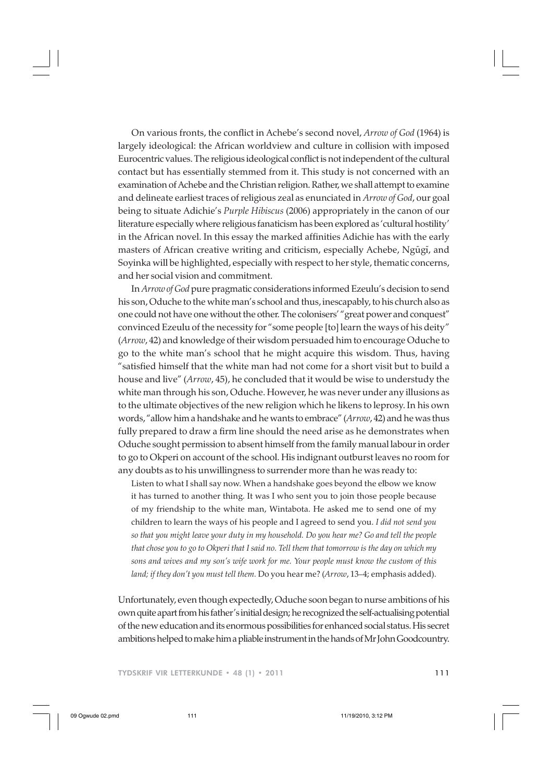On various fronts, the conflict in Achebe's second novel, *Arrow of God* (1964) is largely ideological: the African worldview and culture in collision with imposed Eurocentric values. The religious ideological conflict is not independent of the cultural contact but has essentially stemmed from it. This study is not concerned with an examination of Achebe and the Christian religion. Rather, we shall attempt to examine and delineate earliest traces of religious zeal as enunciated in *Arrow of God*, our goal being to situate Adichie's *Purple Hibiscus* (2006) appropriately in the canon of our literature especially where religious fanaticism has been explored as 'cultural hostility' in the African novel. In this essay the marked affinities Adichie has with the early masters of African creative writing and criticism, especially Achebe, Ngũgĩ, and Soyinka will be highlighted, especially with respect to her style, thematic concerns, and her social vision and commitment.

In *Arrow of God* pure pragmatic considerations informed Ezeulu's decision to send his son, Oduche to the white man's school and thus, inescapably, to his church also as one could not have one without the other. The colonisers' "great power and conquest" convinced Ezeulu of the necessity for "some people [to] learn the ways of his deity" (*Arrow*, 42) and knowledge of their wisdom persuaded him to encourage Oduche to go to the white man's school that he might acquire this wisdom. Thus, having "satisfied himself that the white man had not come for a short visit but to build a house and live" (*Arrow*, 45), he concluded that it would be wise to understudy the white man through his son, Oduche. However, he was never under any illusions as to the ultimate objectives of the new religion which he likens to leprosy. In his own words, "allow him a handshake and he wants to embrace" (*Arrow*, 42) and he was thus fully prepared to draw a firm line should the need arise as he demonstrates when Oduche sought permission to absent himself from the family manual labour in order to go to Okperi on account of the school. His indignant outburst leaves no room for any doubts as to his unwillingness to surrender more than he was ready to:

Listen to what I shall say now. When a handshake goes beyond the elbow we know it has turned to another thing. It was I who sent you to join those people because of my friendship to the white man, Wintabota. He asked me to send one of my children to learn the ways of his people and I agreed to send you. *I did not send you so that you might leave your duty in my household. Do you hear me? Go and tell the people that chose you to go to Okperi that I said no. Tell them that tomorrow is the day on which my sons and wives and my son's wife work for me. Your people must know the custom of this land; if they don't you must tell them.* Do you hear me? (*Arrow*, 13–4; emphasis added).

Unfortunately, even though expectedly, Oduche soon began to nurse ambitions of his own quite apart from his father's initial design; he recognized the self-actualising potential of the new education and its enormous possibilities for enhanced social status. His secret ambitions helped to make him a pliable instrument in the hands of Mr John Goodcountry.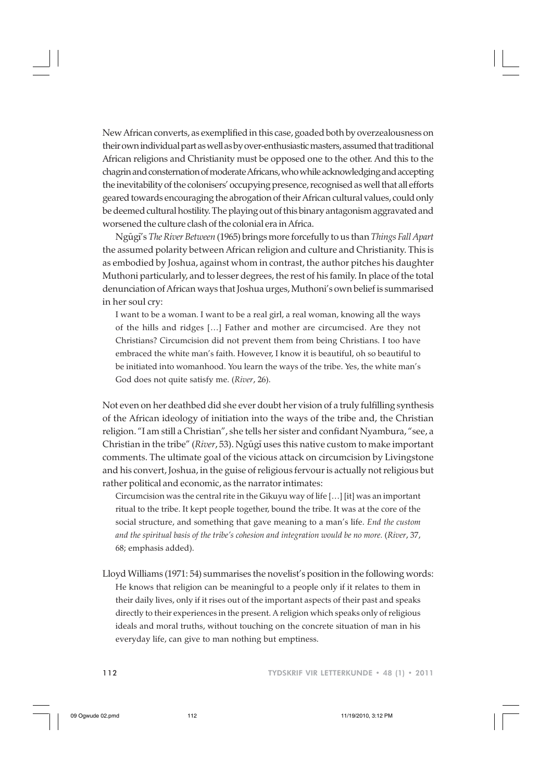New African converts, as exemplified in this case, goaded both by overzealousness on their own individual part as well as by over-enthusiastic masters, assumed that traditional African religions and Christianity must be opposed one to the other. And this to the chagrin and consternation of moderate Africans, who while acknowledging and accepting the inevitability of the colonisers' occupying presence, recognised as well that all efforts geared towards encouraging the abrogation of their African cultural values, could only be deemed cultural hostility. The playing out of this binary antagonism aggravated and worsened the culture clash of the colonial era in Africa.

Ngũgĩ's *The River Between* (1965) brings more forcefully to us than *Things Fall Apart* the assumed polarity between African religion and culture and Christianity. This is as embodied by Joshua, against whom in contrast, the author pitches his daughter Muthoni particularly, and to lesser degrees, the rest of his family. In place of the total denunciation of African ways that Joshua urges, Muthoni's own belief is summarised in her soul cry:

I want to be a woman. I want to be a real girl, a real woman, knowing all the ways of the hills and ridges […] Father and mother are circumcised. Are they not Christians? Circumcision did not prevent them from being Christians. I too have embraced the white man's faith. However, I know it is beautiful, oh so beautiful to be initiated into womanhood. You learn the ways of the tribe. Yes, the white man's God does not quite satisfy me. (*River*, 26).

Not even on her deathbed did she ever doubt her vision of a truly fulfilling synthesis of the African ideology of initiation into the ways of the tribe and, the Christian religion. "I am still a Christian", she tells her sister and confidant Nyambura, "see, a Christian in the tribe" (River, 53). Ngũgĩ uses this native custom to make important comments. The ultimate goal of the vicious attack on circumcision by Livingstone and his convert, Joshua, in the guise of religious fervour is actually not religious but rather political and economic, as the narrator intimates:

Circumcision was the central rite in the Gikuyu way of life […] [it] was an important ritual to the tribe. It kept people together, bound the tribe. It was at the core of the social structure, and something that gave meaning to a man's life. *End the custom and the spiritual basis of the tribe's cohesion and integration would be no more.* (*River*, 37, 68; emphasis added).

Lloyd Williams (1971: 54) summarises the novelist's position in the following words: He knows that religion can be meaningful to a people only if it relates to them in their daily lives, only if it rises out of the important aspects of their past and speaks directly to their experiences in the present. A religion which speaks only of religious ideals and moral truths, without touching on the concrete situation of man in his everyday life, can give to man nothing but emptiness.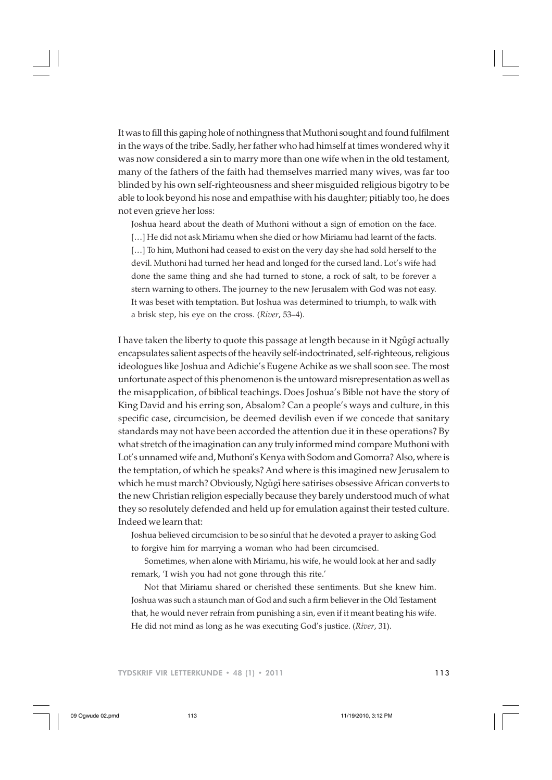It was to fill this gaping hole of nothingness that Muthoni sought and found fulfilment in the ways of the tribe. Sadly, her father who had himself at times wondered why it was now considered a sin to marry more than one wife when in the old testament, many of the fathers of the faith had themselves married many wives, was far too blinded by his own self-righteousness and sheer misguided religious bigotry to be able to look beyond his nose and empathise with his daughter; pitiably too, he does not even grieve her loss:

Joshua heard about the death of Muthoni without a sign of emotion on the face. [...] He did not ask Miriamu when she died or how Miriamu had learnt of the facts. [...] To him, Muthoni had ceased to exist on the very day she had sold herself to the devil. Muthoni had turned her head and longed for the cursed land. Lot's wife had done the same thing and she had turned to stone, a rock of salt, to be forever a stern warning to others. The journey to the new Jerusalem with God was not easy. It was beset with temptation. But Joshua was determined to triumph, to walk with a brisk step, his eye on the cross. (*River*, 53–4).

I have taken the liberty to quote this passage at length because in it Ngūgī actually encapsulates salient aspects of the heavily self-indoctrinated, self-righteous, religious ideologues like Joshua and Adichie's Eugene Achike as we shall soon see. The most unfortunate aspect of this phenomenon is the untoward misrepresentation as well as the misapplication, of biblical teachings. Does Joshua's Bible not have the story of King David and his erring son, Absalom? Can a people's ways and culture, in this specific case, circumcision, be deemed devilish even if we concede that sanitary standards may not have been accorded the attention due it in these operations? By what stretch of the imagination can any truly informed mind compare Muthoni with Lot's unnamed wife and, Muthoni's Kenya with Sodom and Gomorra? Also, where is the temptation, of which he speaks? And where is this imagined new Jerusalem to which he must march? Obviously, Ngũgĩ here satirises obsessive African converts to the new Christian religion especially because they barely understood much of what they so resolutely defended and held up for emulation against their tested culture. Indeed we learn that:

Joshua believed circumcision to be so sinful that he devoted a prayer to asking God to forgive him for marrying a woman who had been circumcised.

Sometimes, when alone with Miriamu, his wife, he would look at her and sadly remark, 'I wish you had not gone through this rite.'

Not that Miriamu shared or cherished these sentiments. But she knew him. Joshua was such a staunch man of God and such a firm believer in the Old Testament that, he would never refrain from punishing a sin, even if it meant beating his wife. He did not mind as long as he was executing God's justice. (*River*, 31).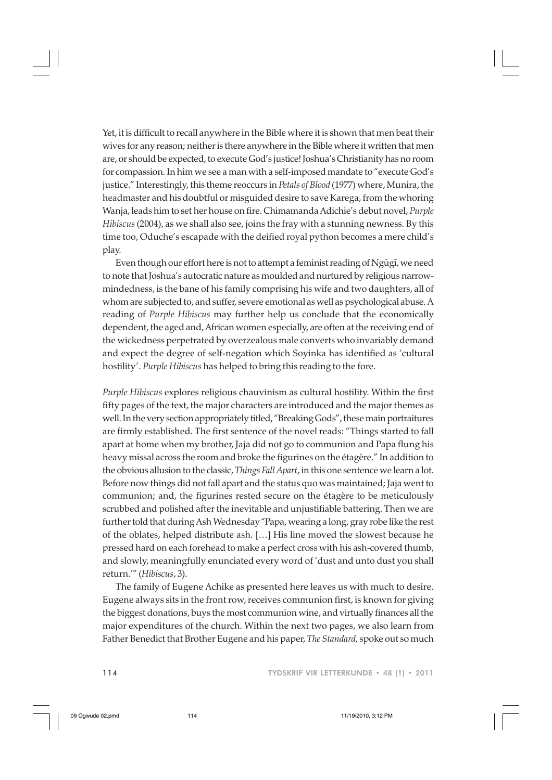Yet, it is difficult to recall anywhere in the Bible where it is shown that men beat their wives for any reason; neither is there anywhere in the Bible where it written that men are, or should be expected, to execute God's justice! Joshua's Christianity has no room for compassion. In him we see a man with a self-imposed mandate to "execute God's justice." Interestingly, this theme reoccurs in *Petals of Blood* (1977) where, Munira, the headmaster and his doubtful or misguided desire to save Karega, from the whoring Wanja, leads him to set her house on fire. Chimamanda Adichie's debut novel, *Purple Hibiscus* (2004), as we shall also see, joins the fray with a stunning newness. By this time too, Oduche's escapade with the deified royal python becomes a mere child's play.

Even though our effort here is not to attempt a feminist reading of  $\mathrm{Ng\tilde{u}g\tilde{\mu}}$ , we need to note that Joshua's autocratic nature as moulded and nurtured by religious narrowmindedness, is the bane of his family comprising his wife and two daughters, all of whom are subjected to, and suffer, severe emotional as well as psychological abuse. A reading of *Purple Hibiscus* may further help us conclude that the economically dependent, the aged and, African women especially, are often at the receiving end of the wickedness perpetrated by overzealous male converts who invariably demand and expect the degree of self-negation which Soyinka has identified as 'cultural hostility'. *Purple Hibiscus* has helped to bring this reading to the fore.

*Purple Hibiscus* explores religious chauvinism as cultural hostility. Within the first fifty pages of the text, the major characters are introduced and the major themes as well. In the very section appropriately titled, "Breaking Gods", these main portraitures are firmly established. The first sentence of the novel reads: "Things started to fall apart at home when my brother, Jaja did not go to communion and Papa flung his heavy missal across the room and broke the figurines on the étagère." In addition to the obvious allusion to the classic, *Things Fall Apart*, in this one sentence we learn a lot. Before now things did not fall apart and the status quo was maintained; Jaja went to communion; and, the figurines rested secure on the étagère to be meticulously scrubbed and polished after the inevitable and unjustifiable battering. Then we are further told that during Ash Wednesday "Papa, wearing a long, gray robe like the rest of the oblates, helped distribute ash. […] His line moved the slowest because he pressed hard on each forehead to make a perfect cross with his ash-covered thumb, and slowly, meaningfully enunciated every word of 'dust and unto dust you shall return.'" (*Hibiscus*, 3).

The family of Eugene Achike as presented here leaves us with much to desire. Eugene always sits in the front row, receives communion first, is known for giving the biggest donations, buys the most communion wine, and virtually finances all the major expenditures of the church. Within the next two pages, we also learn from Father Benedict that Brother Eugene and his paper, *The Standard,* spoke out so much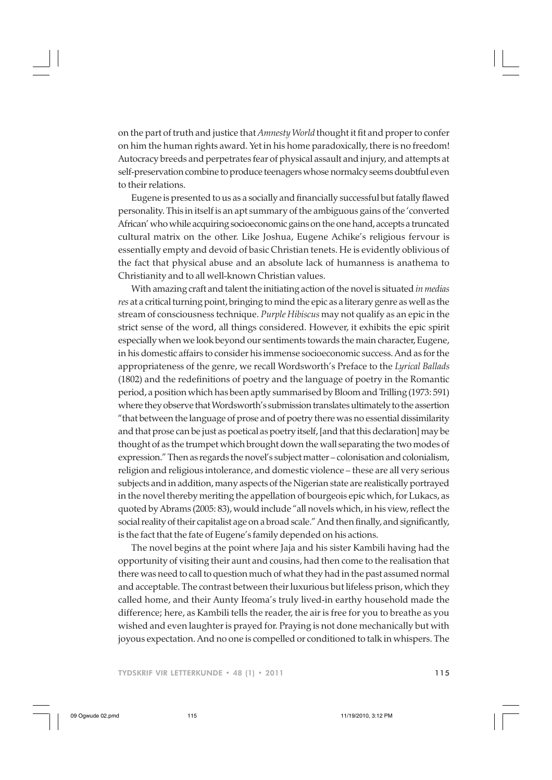on the part of truth and justice that *Amnesty World* thought it fit and proper to confer on him the human rights award. Yet in his home paradoxically, there is no freedom! Autocracy breeds and perpetrates fear of physical assault and injury, and attempts at self-preservation combine to produce teenagers whose normalcy seems doubtful even to their relations.

Eugene is presented to us as a socially and financially successful but fatally flawed personality. This in itself is an apt summary of the ambiguous gains of the 'converted African' who while acquiring socioeconomic gains on the one hand, accepts a truncated cultural matrix on the other. Like Joshua, Eugene Achike's religious fervour is essentially empty and devoid of basic Christian tenets. He is evidently oblivious of the fact that physical abuse and an absolute lack of humanness is anathema to Christianity and to all well-known Christian values.

With amazing craft and talent the initiating action of the novel is situated *in medias res* at a critical turning point, bringing to mind the epic as a literary genre as well as the stream of consciousness technique. *Purple Hibiscus* may not qualify as an epic in the strict sense of the word, all things considered. However, it exhibits the epic spirit especially when we look beyond our sentiments towards the main character, Eugene, in his domestic affairs to consider his immense socioeconomic success. And as for the appropriateness of the genre, we recall Wordsworth's Preface to the *Lyrical Ballads* (1802) and the redefinitions of poetry and the language of poetry in the Romantic period, a position which has been aptly summarised by Bloom and Trilling (1973: 591) where they observe that Wordsworth's submission translates ultimately to the assertion "that between the language of prose and of poetry there was no essential dissimilarity and that prose can be just as poetical as poetry itself, [and that this declaration] may be thought of as the trumpet which brought down the wall separating the two modes of expression." Then as regards the novel's subject matter – colonisation and colonialism, religion and religious intolerance, and domestic violence – these are all very serious subjects and in addition, many aspects of the Nigerian state are realistically portrayed in the novel thereby meriting the appellation of bourgeois epic which, for Lukacs, as quoted by Abrams (2005: 83), would include "all novels which, in his view, reflect the social reality of their capitalist age on a broad scale." And then finally, and significantly, is the fact that the fate of Eugene's family depended on his actions.

The novel begins at the point where Jaja and his sister Kambili having had the opportunity of visiting their aunt and cousins, had then come to the realisation that there was need to call to question much of what they had in the past assumed normal and acceptable. The contrast between their luxurious but lifeless prison, which they called home, and their Aunty Ifeoma's truly lived-in earthy household made the difference; here, as Kambili tells the reader, the air is free for you to breathe as you wished and even laughter is prayed for. Praying is not done mechanically but with joyous expectation. And no one is compelled or conditioned to talk in whispers. The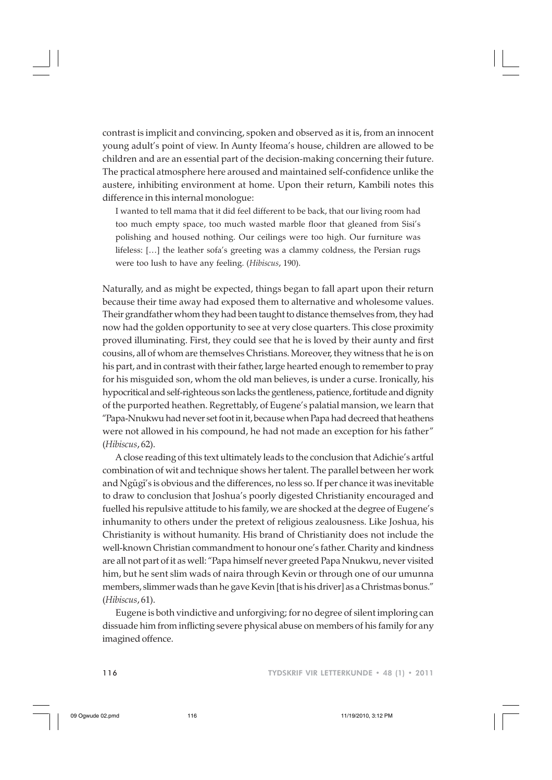contrast is implicit and convincing, spoken and observed as it is, from an innocent young adult's point of view. In Aunty Ifeoma's house, children are allowed to be children and are an essential part of the decision-making concerning their future. The practical atmosphere here aroused and maintained self-confidence unlike the austere, inhibiting environment at home. Upon their return, Kambili notes this difference in this internal monologue:

I wanted to tell mama that it did feel different to be back, that our living room had too much empty space, too much wasted marble floor that gleaned from Sisi's polishing and housed nothing. Our ceilings were too high. Our furniture was lifeless: […] the leather sofa's greeting was a clammy coldness, the Persian rugs were too lush to have any feeling. (*Hibiscus*, 190).

Naturally, and as might be expected, things began to fall apart upon their return because their time away had exposed them to alternative and wholesome values. Their grandfather whom they had been taught to distance themselves from, they had now had the golden opportunity to see at very close quarters. This close proximity proved illuminating. First, they could see that he is loved by their aunty and first cousins, all of whom are themselves Christians. Moreover, they witness that he is on his part, and in contrast with their father, large hearted enough to remember to pray for his misguided son, whom the old man believes, is under a curse. Ironically, his hypocritical and self-righteous son lacks the gentleness, patience, fortitude and dignity of the purported heathen. Regrettably, of Eugene's palatial mansion, we learn that "Papa-Nnukwu had never set foot in it, because when Papa had decreed that heathens were not allowed in his compound, he had not made an exception for his father" (*Hibiscus*, 62).

A close reading of this text ultimately leads to the conclusion that Adichie's artful combination of wit and technique shows her talent. The parallel between her work and Ngũgĩ's is obvious and the differences, no less so. If per chance it was inevitable to draw to conclusion that Joshua's poorly digested Christianity encouraged and fuelled his repulsive attitude to his family, we are shocked at the degree of Eugene's inhumanity to others under the pretext of religious zealousness. Like Joshua, his Christianity is without humanity. His brand of Christianity does not include the well-known Christian commandment to honour one's father. Charity and kindness are all not part of it as well: "Papa himself never greeted Papa Nnukwu, never visited him, but he sent slim wads of naira through Kevin or through one of our umunna members, slimmer wads than he gave Kevin [that is his driver] as a Christmas bonus." (*Hibiscus*, 61).

Eugene is both vindictive and unforgiving; for no degree of silent imploring can dissuade him from inflicting severe physical abuse on members of his family for any imagined offence.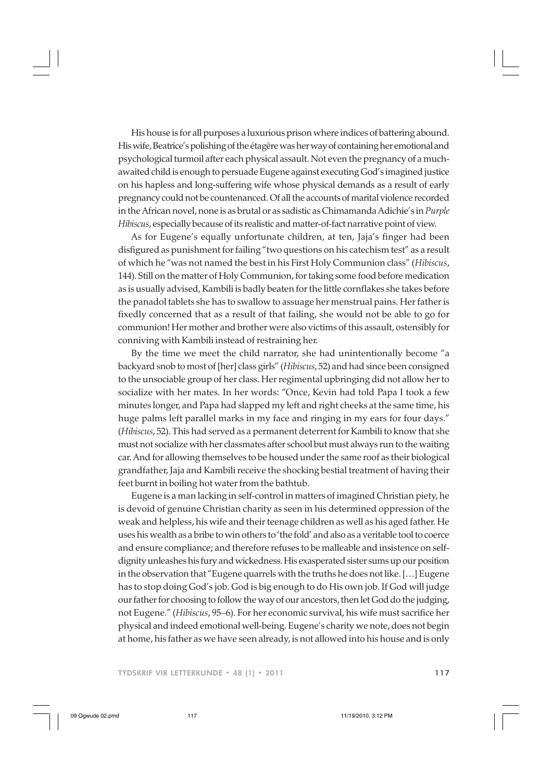His house is for all purposes a luxurious prison where indices of battering abound. His wife, Beatrice's polishing of the étagère was her way of containing her emotional and psychological turmoil after each physical assault. Not even the pregnancy of a muchawaited child is enough to persuade Eugene against executing God's imagined justice on his hapless and long-suffering wife whose physical demands as a result of early pregnancy could not be countenanced. Of all the accounts of marital violence recorded in the African novel, none is as brutal or as sadistic as Chimamanda Adichie's in *Purple Hibiscus*, especially because of its realistic and matter-of-fact narrative point of view.

As for Eugene's equally unfortunate children, at ten, Jaja's finger had been disfigured as punishment for failing "two questions on his catechism test" as a result of which he "was not named the best in his First Holy Communion class" (*Hibiscus*, 144). Still on the matter of Holy Communion, for taking some food before medication as is usually advised, Kambili is badly beaten for the little cornflakes she takes before the panadol tablets she has to swallow to assuage her menstrual pains. Her father is fixedly concerned that as a result of that failing, she would not be able to go for communion! Her mother and brother were also victims of this assault, ostensibly for conniving with Kambili instead of restraining her.

By the time we meet the child narrator, she had unintentionally become "a backyard snob to most of [her] class girls" (*Hibiscus*, 52) and had since been consigned to the unsociable group of her class. Her regimental upbringing did not allow her to socialize with her mates. In her words: "Once, Kevin had told Papa I took a few minutes longer, and Papa had slapped my left and right cheeks at the same time, his huge palms left parallel marks in my face and ringing in my ears for four days." (*Hibiscus*, 52). This had served as a permanent deterrent for Kambili to know that she must not socialize with her classmates after school but must always run to the waiting car. And for allowing themselves to be housed under the same roof as their biological grandfather, Jaja and Kambili receive the shocking bestial treatment of having their feet burnt in boiling hot water from the bathtub.

Eugene is a man lacking in self-control in matters of imagined Christian piety, he is devoid of genuine Christian charity as seen in his determined oppression of the weak and helpless, his wife and their teenage children as well as his aged father. He uses his wealth as a bribe to win others to 'the fold' and also as a veritable tool to coerce and ensure compliance; and therefore refuses to be malleable and insistence on selfdignity unleashes his fury and wickedness. His exasperated sister sums up our position in the observation that "Eugene quarrels with the truths he does not like. […] Eugene has to stop doing God's job. God is big enough to do His own job. If God will judge our father for choosing to follow the way of our ancestors, then let God do the judging, not Eugene." (*Hibiscus*, 95–6). For her economic survival, his wife must sacrifice her physical and indeed emotional well-being. Eugene's charity we note, does not begin at home, his father as we have seen already, is not allowed into his house and is only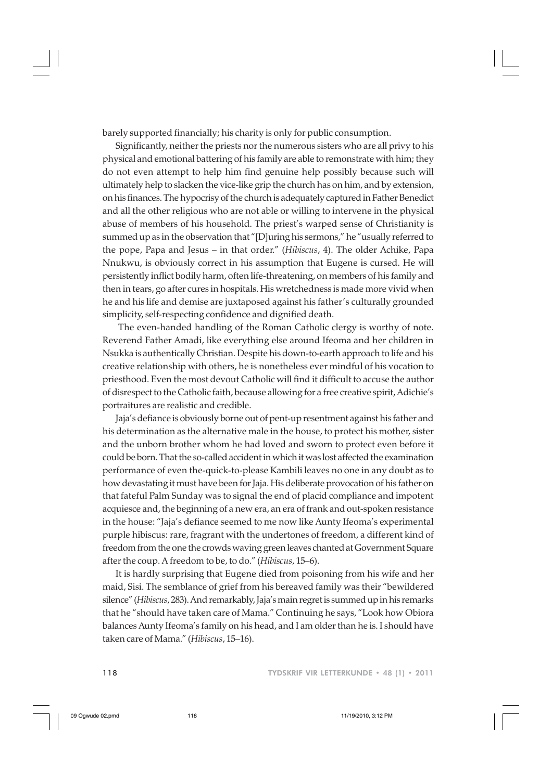barely supported financially; his charity is only for public consumption.

Significantly, neither the priests nor the numerous sisters who are all privy to his physical and emotional battering of his family are able to remonstrate with him; they do not even attempt to help him find genuine help possibly because such will ultimately help to slacken the vice-like grip the church has on him, and by extension, on his finances. The hypocrisy of the church is adequately captured in Father Benedict and all the other religious who are not able or willing to intervene in the physical abuse of members of his household. The priest's warped sense of Christianity is summed up as in the observation that "[D]uring his sermons," he "usually referred to the pope, Papa and Jesus – in that order." (*Hibiscus*, 4). The older Achike, Papa Nnukwu, is obviously correct in his assumption that Eugene is cursed. He will persistently inflict bodily harm, often life-threatening, on members of his family and then in tears, go after cures in hospitals. His wretchedness is made more vivid when he and his life and demise are juxtaposed against his father's culturally grounded simplicity, self-respecting confidence and dignified death.

 The even-handed handling of the Roman Catholic clergy is worthy of note. Reverend Father Amadi, like everything else around Ifeoma and her children in Nsukka is authentically Christian. Despite his down-to-earth approach to life and his creative relationship with others, he is nonetheless ever mindful of his vocation to priesthood. Even the most devout Catholic will find it difficult to accuse the author of disrespect to the Catholic faith, because allowing for a free creative spirit, Adichie's portraitures are realistic and credible.

Jaja's defiance is obviously borne out of pent-up resentment against his father and his determination as the alternative male in the house, to protect his mother, sister and the unborn brother whom he had loved and sworn to protect even before it could be born. That the so-called accident in which it was lost affected the examination performance of even the-quick-to-please Kambili leaves no one in any doubt as to how devastating it must have been for Jaja. His deliberate provocation of his father on that fateful Palm Sunday was to signal the end of placid compliance and impotent acquiesce and, the beginning of a new era, an era of frank and out-spoken resistance in the house: "Jaja's defiance seemed to me now like Aunty Ifeoma's experimental purple hibiscus: rare, fragrant with the undertones of freedom, a different kind of freedom from the one the crowds waving green leaves chanted at Government Square after the coup. A freedom to be, to do." (*Hibiscus*, 15–6).

It is hardly surprising that Eugene died from poisoning from his wife and her maid, Sisi. The semblance of grief from his bereaved family was their "bewildered silence" (*Hibiscus*, 283). And remarkably, Jaja's main regret is summed up in his remarks that he "should have taken care of Mama." Continuing he says, "Look how Obiora balances Aunty Ifeoma's family on his head, and I am older than he is. I should have taken care of Mama." (*Hibiscus*, 15–16).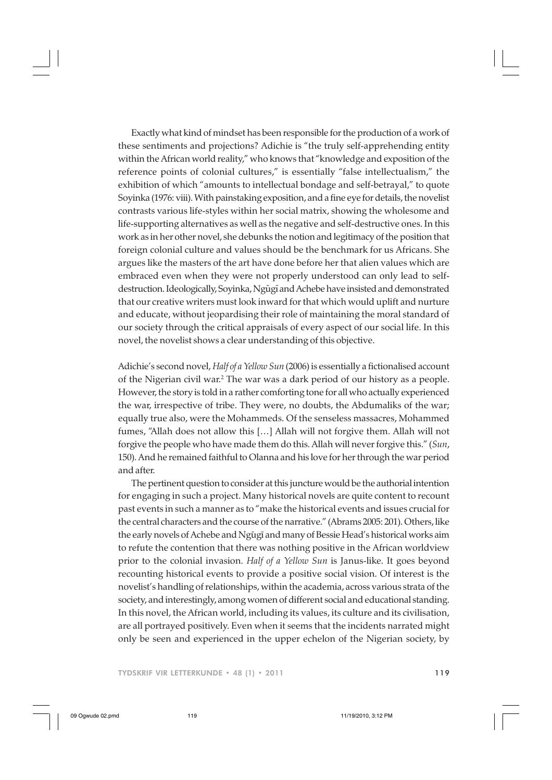Exactly what kind of mindset has been responsible for the production of a work of these sentiments and projections? Adichie is "the truly self-apprehending entity within the African world reality," who knows that "knowledge and exposition of the reference points of colonial cultures," is essentially "false intellectualism," the exhibition of which "amounts to intellectual bondage and self-betrayal," to quote Soyinka (1976: viii). With painstaking exposition, and a fine eye for details, the novelist contrasts various life-styles within her social matrix, showing the wholesome and life-supporting alternatives as well as the negative and self-destructive ones. In this work as in her other novel, she debunks the notion and legitimacy of the position that foreign colonial culture and values should be the benchmark for us Africans. She argues like the masters of the art have done before her that alien values which are embraced even when they were not properly understood can only lead to selfdestruction. Ideologically, Soyinka, Ngũgĩ and Achebe have insisted and demonstrated that our creative writers must look inward for that which would uplift and nurture and educate, without jeopardising their role of maintaining the moral standard of our society through the critical appraisals of every aspect of our social life. In this novel, the novelist shows a clear understanding of this objective.

Adichie's second novel, *Half of a Yellow Sun* (2006) is essentially a fictionalised account of the Nigerian civil war.<sup>2</sup> The war was a dark period of our history as a people. However, the story is told in a rather comforting tone for all who actually experienced the war, irrespective of tribe. They were, no doubts, the Abdumaliks of the war; equally true also, were the Mohammeds. Of the senseless massacres, Mohammed fumes, "Allah does not allow this […] Allah will not forgive them. Allah will not forgive the people who have made them do this. Allah will never forgive this." (*Sun*, 150). And he remained faithful to Olanna and his love for her through the war period and after.

The pertinent question to consider at this juncture would be the authorial intention for engaging in such a project. Many historical novels are quite content to recount past events in such a manner as to "make the historical events and issues crucial for the central characters and the course of the narrative." (Abrams 2005: 201). Others, like the early novels of Achebe and Ngũgĩ and many of Bessie Head's historical works aim to refute the contention that there was nothing positive in the African worldview prior to the colonial invasion. *Half of a Yellow Sun* is Janus-like. It goes beyond recounting historical events to provide a positive social vision. Of interest is the novelist's handling of relationships, within the academia, across various strata of the society, and interestingly, among women of different social and educational standing. In this novel, the African world, including its values, its culture and its civilisation, are all portrayed positively. Even when it seems that the incidents narrated might only be seen and experienced in the upper echelon of the Nigerian society, by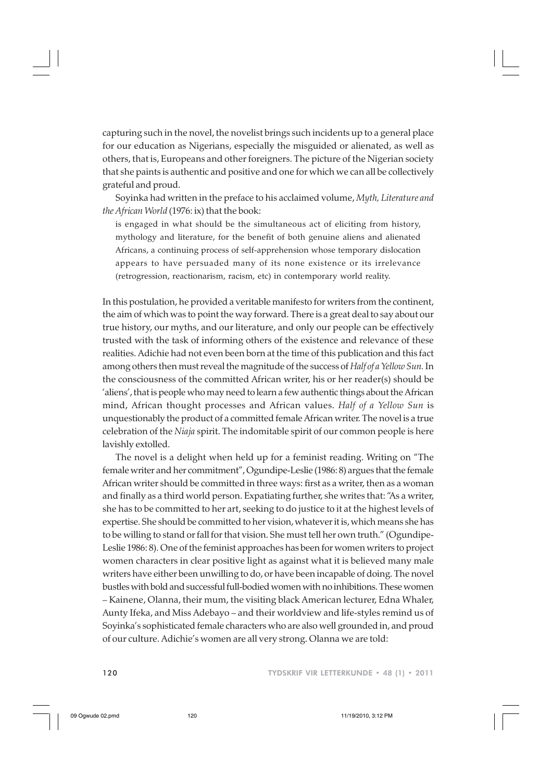capturing such in the novel, the novelist brings such incidents up to a general place for our education as Nigerians, especially the misguided or alienated, as well as others, that is, Europeans and other foreigners. The picture of the Nigerian society that she paints is authentic and positive and one for which we can all be collectively grateful and proud.

Soyinka had written in the preface to his acclaimed volume, *Myth, Literature and the African World* (1976: ix) that the book:

is engaged in what should be the simultaneous act of eliciting from history, mythology and literature, for the benefit of both genuine aliens and alienated Africans, a continuing process of self-apprehension whose temporary dislocation appears to have persuaded many of its none existence or its irrelevance (retrogression, reactionarism, racism, etc) in contemporary world reality.

In this postulation, he provided a veritable manifesto for writers from the continent, the aim of which was to point the way forward. There is a great deal to say about our true history, our myths, and our literature, and only our people can be effectively trusted with the task of informing others of the existence and relevance of these realities. Adichie had not even been born at the time of this publication and this fact among others then must reveal the magnitude of the success of *Half of a Yellow Sun.* In the consciousness of the committed African writer, his or her reader(s) should be 'aliens', that is people who may need to learn a few authentic things about the African mind, African thought processes and African values. *Half of a Yellow Sun* is unquestionably the product of a committed female African writer. The novel is a true celebration of the *Niaja* spirit. The indomitable spirit of our common people is here lavishly extolled.

The novel is a delight when held up for a feminist reading. Writing on "The female writer and her commitment", Ogundipe-Leslie (1986: 8) argues that the female African writer should be committed in three ways: first as a writer, then as a woman and finally as a third world person. Expatiating further, she writes that: "As a writer, she has to be committed to her art, seeking to do justice to it at the highest levels of expertise. She should be committed to her vision, whatever it is, which means she has to be willing to stand or fall for that vision. She must tell her own truth." (Ogundipe-Leslie 1986: 8). One of the feminist approaches has been for women writers to project women characters in clear positive light as against what it is believed many male writers have either been unwilling to do, or have been incapable of doing. The novel bustles with bold and successful full-bodied women with no inhibitions. These women – Kainene, Olanna, their mum, the visiting black American lecturer, Edna Whaler, Aunty Ifeka, and Miss Adebayo – and their worldview and life-styles remind us of Soyinka's sophisticated female characters who are also well grounded in, and proud of our culture. Adichie's women are all very strong. Olanna we are told: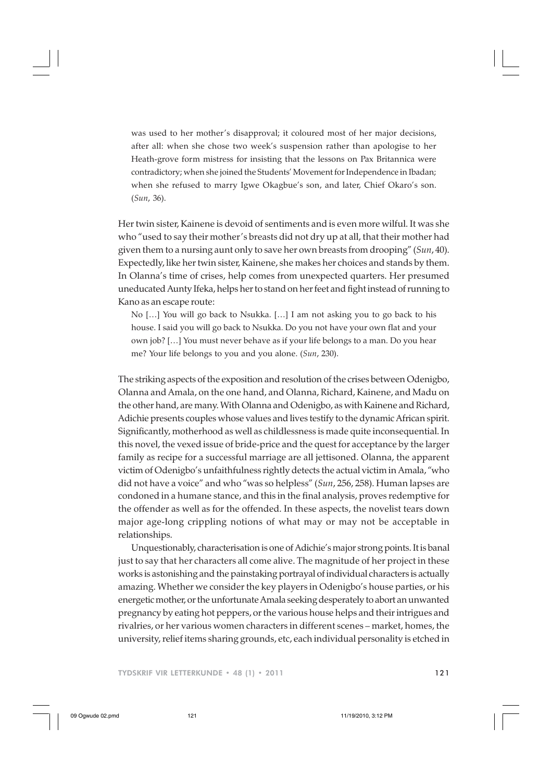was used to her mother's disapproval; it coloured most of her major decisions, after all: when she chose two week's suspension rather than apologise to her Heath-grove form mistress for insisting that the lessons on Pax Britannica were contradictory; when she joined the Students' Movement for Independence in Ibadan; when she refused to marry Igwe Okagbue's son, and later, Chief Okaro's son. (*Sun*, 36).

Her twin sister, Kainene is devoid of sentiments and is even more wilful. It was she who "used to say their mother's breasts did not dry up at all, that their mother had given them to a nursing aunt only to save her own breasts from drooping" (*Sun*, 40). Expectedly, like her twin sister, Kainene, she makes her choices and stands by them. In Olanna's time of crises, help comes from unexpected quarters. Her presumed uneducated Aunty Ifeka, helps her to stand on her feet and fight instead of running to Kano as an escape route:

No […] You will go back to Nsukka. […] I am not asking you to go back to his house. I said you will go back to Nsukka. Do you not have your own flat and your own job? […] You must never behave as if your life belongs to a man. Do you hear me? Your life belongs to you and you alone. (*Sun*, 230).

The striking aspects of the exposition and resolution of the crises between Odenigbo, Olanna and Amala, on the one hand, and Olanna, Richard, Kainene, and Madu on the other hand, are many. With Olanna and Odenigbo, as with Kainene and Richard, Adichie presents couples whose values and lives testify to the dynamic African spirit. Significantly, motherhood as well as childlessness is made quite inconsequential. In this novel, the vexed issue of bride-price and the quest for acceptance by the larger family as recipe for a successful marriage are all jettisoned. Olanna, the apparent victim of Odenigbo's unfaithfulness rightly detects the actual victim in Amala, "who did not have a voice" and who "was so helpless" (*Sun*, 256, 258). Human lapses are condoned in a humane stance, and this in the final analysis, proves redemptive for the offender as well as for the offended. In these aspects, the novelist tears down major age-long crippling notions of what may or may not be acceptable in relationships.

Unquestionably, characterisation is one of Adichie's major strong points. It is banal just to say that her characters all come alive. The magnitude of her project in these works is astonishing and the painstaking portrayal of individual characters is actually amazing. Whether we consider the key players in Odenigbo's house parties, or his energetic mother, or the unfortunate Amala seeking desperately to abort an unwanted pregnancy by eating hot peppers, or the various house helps and their intrigues and rivalries, or her various women characters in different scenes – market, homes, the university, relief items sharing grounds, etc, each individual personality is etched in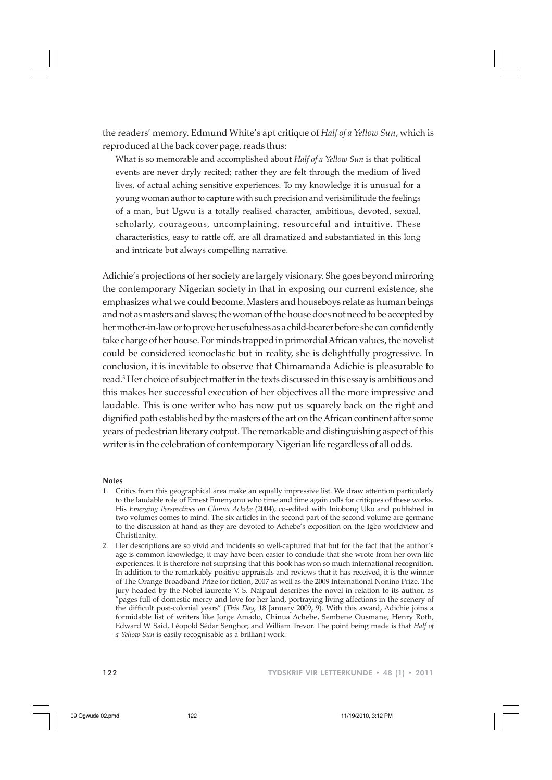the readers' memory. Edmund White's apt critique of *Half of a Yellow Sun*, which is reproduced at the back cover page, reads thus:

What is so memorable and accomplished about *Half of a Yellow Sun* is that political events are never dryly recited; rather they are felt through the medium of lived lives, of actual aching sensitive experiences. To my knowledge it is unusual for a young woman author to capture with such precision and verisimilitude the feelings of a man, but Ugwu is a totally realised character, ambitious, devoted, sexual, scholarly, courageous, uncomplaining, resourceful and intuitive. These characteristics, easy to rattle off, are all dramatized and substantiated in this long and intricate but always compelling narrative.

Adichie's projections of her society are largely visionary. She goes beyond mirroring the contemporary Nigerian society in that in exposing our current existence, she emphasizes what we could become. Masters and houseboys relate as human beings and not as masters and slaves; the woman of the house does not need to be accepted by her mother-in-law or to prove her usefulness as a child-bearer before she can confidently take charge of her house. For minds trapped in primordial African values, the novelist could be considered iconoclastic but in reality, she is delightfully progressive. In conclusion, it is inevitable to observe that Chimamanda Adichie is pleasurable to read.<sup>3</sup> Her choice of subject matter in the texts discussed in this essay is ambitious and this makes her successful execution of her objectives all the more impressive and laudable. This is one writer who has now put us squarely back on the right and dignified path established by the masters of the art on the African continent after some years of pedestrian literary output. The remarkable and distinguishing aspect of this writer is in the celebration of contemporary Nigerian life regardless of all odds.

#### **Notes**

- 1. Critics from this geographical area make an equally impressive list. We draw attention particularly to the laudable role of Ernest Emenyonu who time and time again calls for critiques of these works. His *Emerging Perspectives on Chinua Achebe* (2004), co-edited with Iniobong Uko and published in two volumes comes to mind. The six articles in the second part of the second volume are germane to the discussion at hand as they are devoted to Achebe's exposition on the Igbo worldview and Christianity.
- 2. Her descriptions are so vivid and incidents so well-captured that but for the fact that the author's age is common knowledge, it may have been easier to conclude that she wrote from her own life experiences. It is therefore not surprising that this book has won so much international recognition. In addition to the remarkably positive appraisals and reviews that it has received, it is the winner of The Orange Broadband Prize for fiction, 2007 as well as the 2009 International Nonino Prize. The jury headed by the Nobel laureate V. S. Naipaul describes the novel in relation to its author, as "pages full of domestic mercy and love for her land, portraying living affections in the scenery of the difficult post-colonial years" (*This Day,* 18 January 2009, 9). With this award, Adichie joins a formidable list of writers like Jorge Amado, Chinua Achebe, Sembene Ousmane, Henry Roth, Edward W. Said, Léopold Sédar Senghor, and William Trevor. The point being made is that *Half of a Yellow Sun* is easily recognisable as a brilliant work.